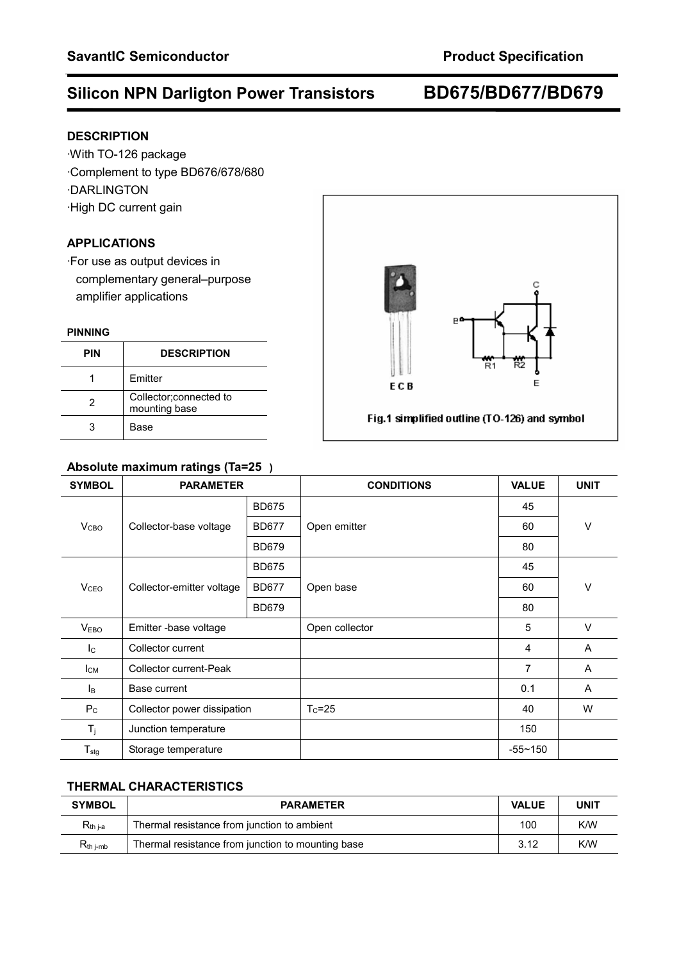## **Silicon NPN Darligton Power Transistors BD675/BD677/BD679**

## **DESCRIPTION**

·With TO-126 package ·Complement to type BD676/678/680 ·DARLINGTON ·High DC current gain

## **APPLICATIONS**

·For use as output devices in complementary general–purpose amplifier applications

### **PINNING**

| <b>PIN</b> | <b>DESCRIPTION</b>                       |
|------------|------------------------------------------|
|            | Emitter                                  |
| 2          | Collector; connected to<br>mounting base |
| 3          | Base                                     |

## **Absolute maximum ratings (Ta=25)**

| <b>SYMBOL</b>              | <b>PARAMETER</b>            |              | <b>CONDITIONS</b> | <b>VALUE</b> | <b>UNIT</b> |
|----------------------------|-----------------------------|--------------|-------------------|--------------|-------------|
|                            |                             | <b>BD675</b> |                   | 45           |             |
| V <sub>CBO</sub>           | Collector-base voltage      | <b>BD677</b> | Open emitter      | 60           | $\vee$      |
|                            |                             | <b>BD679</b> |                   | 80           |             |
| <b>V</b> <sub>CEO</sub>    | Collector-emitter voltage   | <b>BD675</b> | Open base         | 45           | $\vee$      |
|                            |                             | <b>BD677</b> |                   | 60           |             |
|                            |                             | <b>BD679</b> |                   | 80           |             |
| V <sub>EBO</sub>           | Emitter -base voltage       |              | Open collector    | 5            | $\vee$      |
| $\mathsf{I}_\mathsf{C}$    | Collector current           |              |                   | 4            | A           |
| Iсм                        | Collector current-Peak      |              |                   | 7            | A           |
| Iв                         | Base current                |              |                   | 0.1          | A           |
| $P_{C}$                    | Collector power dissipation |              | $T_c = 25$        | 40           | W           |
| $T_j$                      | Junction temperature        |              |                   | 150          |             |
| ${\mathsf T}_{\text{stg}}$ | Storage temperature         |              |                   | $-55 - 150$  |             |

## **THERMAL CHARACTERISTICS**

| <b>SYMBOL</b>        | <b>PARAMETER</b>                                  |      | <b>UNIT</b> |
|----------------------|---------------------------------------------------|------|-------------|
| $R_{th i-a}$         | Thermal resistance from junction to ambient       | 100  | K/W         |
| $R_{th\text{ i-mb}}$ | Thermal resistance from junction to mounting base | 3.12 | K/W         |

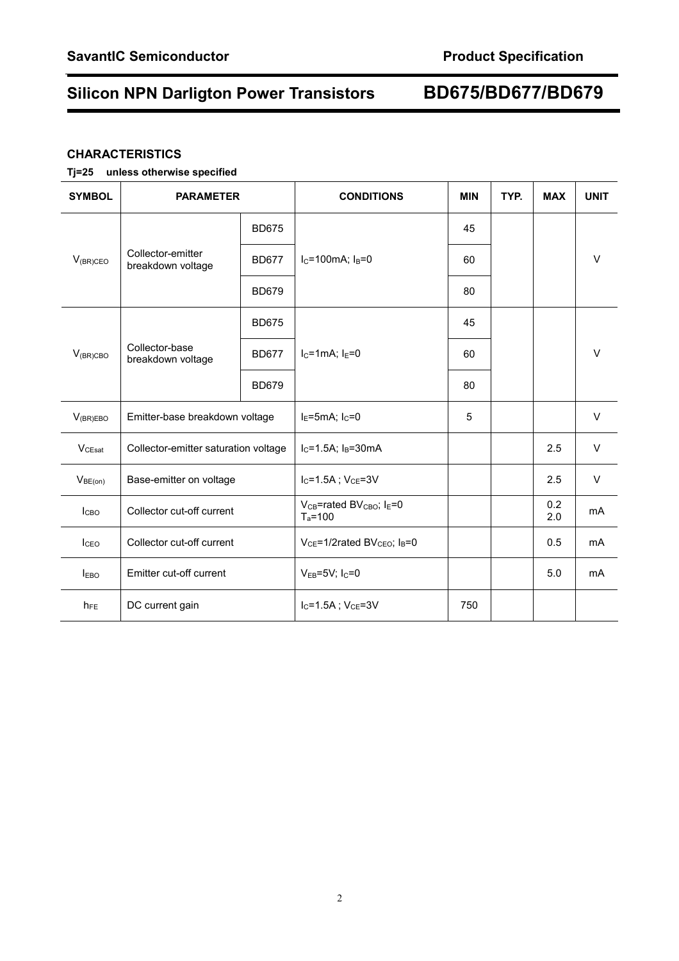# **Silicon NPN Darligton Power Transistors BD675/BD677/BD679**

## **CHARACTERISTICS**

## **Tj=25 unless otherwise specified**

| <b>SYMBOL</b>      | <b>PARAMETER</b>                       |              | <b>CONDITIONS</b>                                                           | <b>MIN</b> | TYP. | <b>MAX</b> | <b>UNIT</b>    |
|--------------------|----------------------------------------|--------------|-----------------------------------------------------------------------------|------------|------|------------|----------------|
| $V_{(BR)CEO}$      | Collector-emitter<br>breakdown voltage | <b>BD675</b> | $I_C = 100$ mA; $I_B = 0$                                                   | 45         |      |            |                |
|                    |                                        | <b>BD677</b> |                                                                             | 60         |      |            | $\vee$         |
|                    |                                        | <b>BD679</b> |                                                                             | 80         |      |            |                |
| $V_{(BR)CBO}$      | Collector-base<br>breakdown voltage    | <b>BD675</b> | $I_{C}$ =1mA; $I_{F}$ =0                                                    | 45         |      |            |                |
|                    |                                        | <b>BD677</b> |                                                                             | 60         |      |            | $\vee$         |
|                    |                                        | <b>BD679</b> |                                                                             | 80         |      |            |                |
| $V_{(BR)EBO}$      | Emitter-base breakdown voltage         |              | $IE=5mA; IC=0$                                                              | 5          |      |            | $\vee$         |
| V <sub>CEsat</sub> | Collector-emitter saturation voltage   |              | $I_C = 1.5A$ ; $I_B = 30mA$                                                 |            |      | 2.5        | $\vee$         |
| $V_{BE(on)}$       | Base-emitter on voltage                |              | $I_C = 1.5A$ ; $V_{CE} = 3V$                                                |            |      | 2.5        | $\vee$         |
| I <sub>CBO</sub>   | Collector cut-off current              |              | V <sub>CB</sub> =rated BV <sub>CBO</sub> ; I <sub>E</sub> =0<br>$T_a = 100$ |            |      | 0.2<br>2.0 | m <sub>A</sub> |
| I <sub>CEO</sub>   | Collector cut-off current              |              | $V_{CE}$ =1/2rated BV <sub>CEO</sub> ; $I_B$ =0                             |            |      | 0.5        | mA             |
| <b>IEBO</b>        | Emitter cut-off current                |              | $V_{EB} = 5V$ ; $I_C = 0$                                                   |            |      | 5.0        | mA             |
| $h_{FE}$           | DC current gain                        |              | $I_C = 1.5A$ ; $V_{CE} = 3V$                                                | 750        |      |            |                |